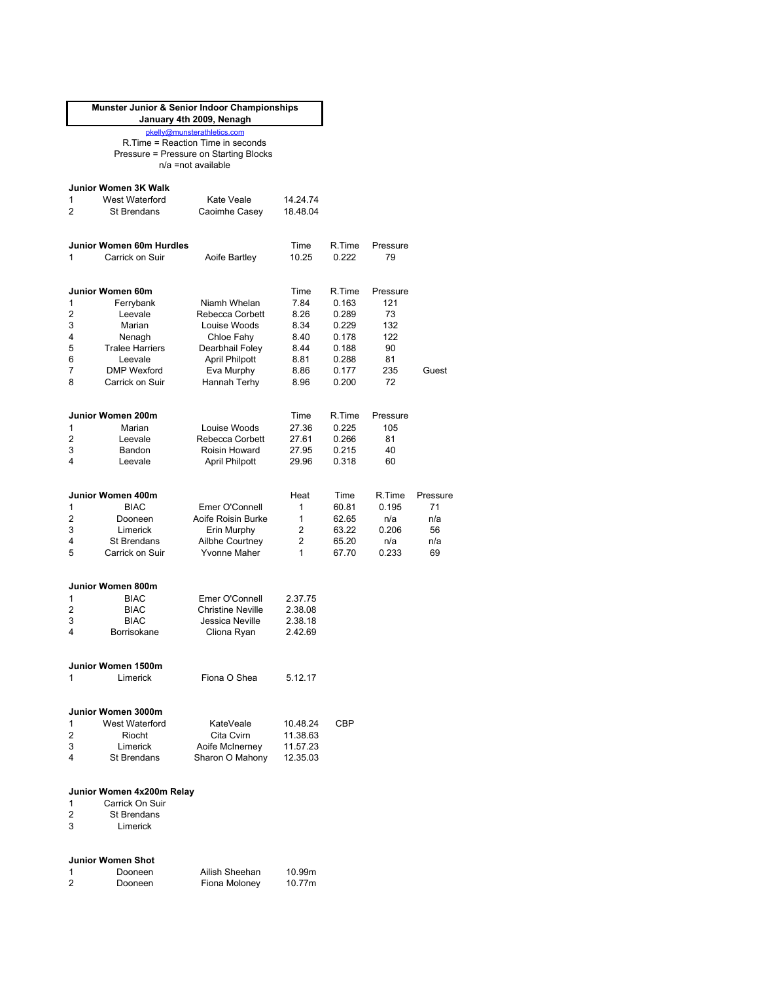|   | Munster Junior & Senior Indoor Championships | January 4th 2009, Nenagh               |          |        |          |          |
|---|----------------------------------------------|----------------------------------------|----------|--------|----------|----------|
|   |                                              | pkelly@munsterathletics.com            |          |        |          |          |
|   |                                              | R. Time = Reaction Time in seconds     |          |        |          |          |
|   |                                              | Pressure = Pressure on Starting Blocks |          |        |          |          |
|   |                                              | n/a =not available                     |          |        |          |          |
|   |                                              |                                        |          |        |          |          |
|   | Junior Women 3K Walk                         |                                        |          |        |          |          |
|   |                                              |                                        |          |        |          |          |
| 1 | West Waterford                               | Kate Veale                             | 14.24.74 |        |          |          |
| 2 | <b>St Brendans</b>                           | Caoimhe Casey                          | 18.48.04 |        |          |          |
|   |                                              |                                        |          |        |          |          |
|   | Junior Women 60m Hurdles                     |                                        | Time     | R.Time | Pressure |          |
| 1 | Carrick on Suir                              | Aoife Bartley                          | 10.25    | 0.222  | 79       |          |
|   |                                              |                                        |          |        |          |          |
|   |                                              |                                        |          |        |          |          |
|   | Junior Women 60m                             |                                        | Time     | R.Time | Pressure |          |
| 1 | Ferrybank                                    | Niamh Whelan                           | 7.84     | 0.163  | 121      |          |
| 2 | Leevale                                      | Rebecca Corbett                        | 8.26     | 0.289  | 73       |          |
| 3 | Marian                                       | Louise Woods                           | 8.34     | 0.229  | 132      |          |
| 4 | Nenagh                                       | Chloe Fahy                             | 8.40     | 0.178  | 122      |          |
| 5 | <b>Tralee Harriers</b>                       |                                        | 8.44     | 0.188  | 90       |          |
|   |                                              | Dearbhail Foley                        |          |        |          |          |
| 6 | Leevale                                      | <b>April Philpott</b>                  | 8.81     | 0.288  | 81       |          |
| 7 | <b>DMP</b> Wexford                           | Eva Murphy                             | 8.86     | 0.177  | 235      | Guest    |
| 8 | Carrick on Suir                              | Hannah Terhy                           | 8.96     | 0.200  | 72       |          |
|   |                                              |                                        |          |        |          |          |
|   | Junior Women 200m                            |                                        | Time     | R.Time | Pressure |          |
| 1 |                                              |                                        |          |        | 105      |          |
|   | Marian                                       | Louise Woods                           | 27.36    | 0.225  |          |          |
| 2 | Leevale                                      | Rebecca Corbett                        | 27.61    | 0.266  | 81       |          |
| 3 | Bandon                                       | Roisin Howard                          | 27.95    | 0.215  | 40       |          |
| 4 | Leevale                                      | <b>April Philpott</b>                  | 29.96    | 0.318  | 60       |          |
|   |                                              |                                        |          |        |          |          |
|   | Junior Women 400m                            |                                        | Heat     | Time   | R.Time   | Pressure |
| 1 | <b>BIAC</b>                                  | Emer O'Connell                         | 1        | 60.81  | 0.195    | 71       |
| 2 | Dooneen                                      | Aoife Roisin Burke                     | 1        | 62.65  | n/a      | n/a      |
| 3 | Limerick                                     |                                        | 2        | 63.22  | 0.206    | 56       |
| 4 | <b>St Brendans</b>                           | Erin Murphy<br>Ailbhe Courtney         | 2        | 65.20  | n/a      | n/a      |
| 5 | Carrick on Suir                              | <b>Yvonne Maher</b>                    | 1        | 67.70  | 0.233    | 69       |
|   |                                              |                                        |          |        |          |          |
|   |                                              |                                        |          |        |          |          |
|   | Junior Women 800m                            |                                        |          |        |          |          |
| 1 | <b>BIAC</b>                                  | Emer O'Connell                         | 2.37.75  |        |          |          |
| 2 | <b>BIAC</b>                                  | <b>Christine Neville</b>               | 2.38.08  |        |          |          |
| 3 | <b>BIAC</b>                                  | Jessica Neville                        | 2.38.18  |        |          |          |
| 4 | Borrisokane                                  | Cliona Ryan                            | 2.42.69  |        |          |          |
|   |                                              |                                        |          |        |          |          |
|   |                                              |                                        |          |        |          |          |
|   | Junior Women 1500m                           |                                        |          |        |          |          |
| 1 | Limerick                                     | Fiona O Shea                           | 5.12.17  |        |          |          |
|   |                                              |                                        |          |        |          |          |
|   |                                              |                                        |          |        |          |          |
|   | Junior Women 3000m                           |                                        |          |        |          |          |
| 1 | West Waterford                               | KateVeale                              | 10.48.24 | CBP    |          |          |
| 2 | Riocht                                       | Cita Cvirn                             | 11.38.63 |        |          |          |
| 3 | Limerick                                     | Aoife McInerney                        | 11.57.23 |        |          |          |
| 4 | St Brendans                                  | Sharon O Mahony                        | 12.35.03 |        |          |          |
|   |                                              |                                        |          |        |          |          |
|   |                                              |                                        |          |        |          |          |
|   | Junior Women 4x200m Relay                    |                                        |          |        |          |          |
| 1 | Carrick On Suir                              |                                        |          |        |          |          |
| 2 | <b>St Brendans</b>                           |                                        |          |        |          |          |
| 3 | Limerick                                     |                                        |          |        |          |          |
|   |                                              |                                        |          |        |          |          |
|   |                                              |                                        |          |        |          |          |
|   | <b>Junior Women Shot</b>                     |                                        |          |        |          |          |
| 1 | Dooneen                                      | Ailish Sheehan                         | 10.99m   |        |          |          |
| 2 | Dooneen                                      | Fiona Moloney                          | 10.77m   |        |          |          |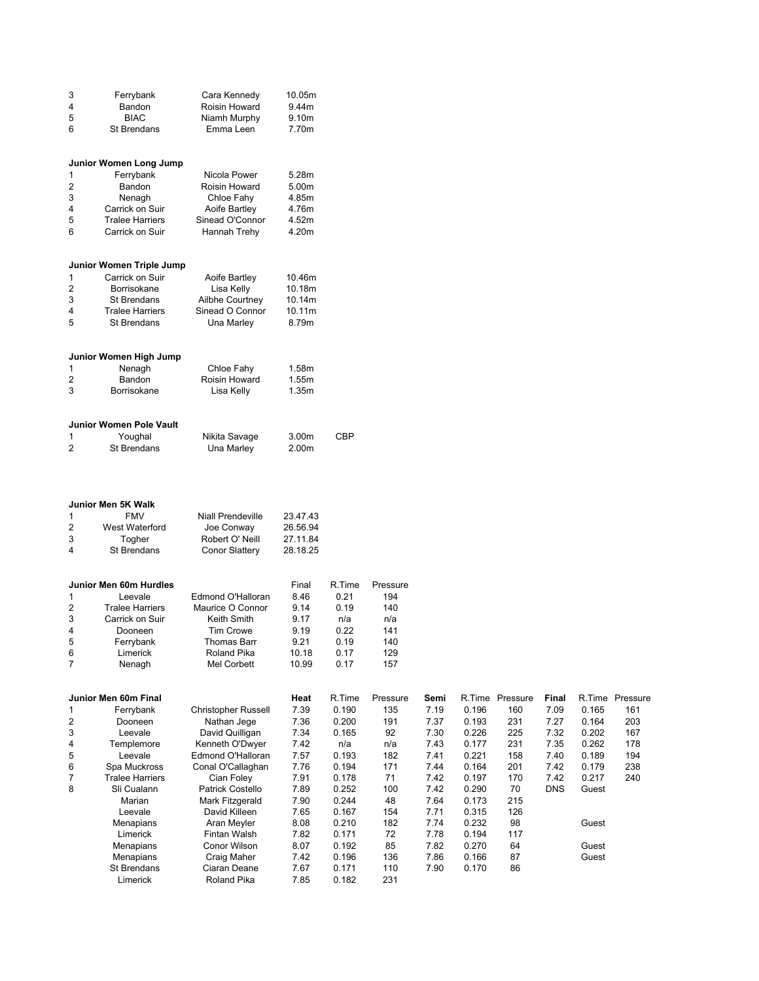| 3                       | Ferrybank                      | Cara Kennedy                | 10.05m       |                |            |      |       |                 |            |       |                 |
|-------------------------|--------------------------------|-----------------------------|--------------|----------------|------------|------|-------|-----------------|------------|-------|-----------------|
| 4                       | Bandon                         | Roisin Howard               | 9.44m        |                |            |      |       |                 |            |       |                 |
| 5                       | <b>BIAC</b>                    | Niamh Murphy                | 9.10m        |                |            |      |       |                 |            |       |                 |
| 6                       | St Brendans                    | Emma Leen                   | 7.70m        |                |            |      |       |                 |            |       |                 |
|                         |                                |                             |              |                |            |      |       |                 |            |       |                 |
|                         |                                |                             |              |                |            |      |       |                 |            |       |                 |
|                         |                                |                             |              |                |            |      |       |                 |            |       |                 |
|                         | Junior Women Long Jump         |                             |              |                |            |      |       |                 |            |       |                 |
| 1                       | Ferrybank                      | Nicola Power                | 5.28m        |                |            |      |       |                 |            |       |                 |
| $\overline{\mathbf{c}}$ | Bandon                         | Roisin Howard               | 5.00m        |                |            |      |       |                 |            |       |                 |
| 3                       | Nenagh                         | Chloe Fahy                  | 4.85m        |                |            |      |       |                 |            |       |                 |
| 4                       | Carrick on Suir                | Aoife Bartley               | 4.76m        |                |            |      |       |                 |            |       |                 |
|                         |                                |                             |              |                |            |      |       |                 |            |       |                 |
| 5                       | <b>Tralee Harriers</b>         | Sinead O'Connor             | 4.52m        |                |            |      |       |                 |            |       |                 |
| 6                       | Carrick on Suir                | Hannah Trehy                | 4.20m        |                |            |      |       |                 |            |       |                 |
|                         |                                |                             |              |                |            |      |       |                 |            |       |                 |
|                         |                                |                             |              |                |            |      |       |                 |            |       |                 |
|                         | Junior Women Triple Jump       |                             |              |                |            |      |       |                 |            |       |                 |
| 1                       | Carrick on Suir                | Aoife Bartley               | 10.46m       |                |            |      |       |                 |            |       |                 |
| $\overline{2}$          | Borrisokane                    | Lisa Kelly                  | 10.18m       |                |            |      |       |                 |            |       |                 |
|                         |                                |                             |              |                |            |      |       |                 |            |       |                 |
| 3                       | St Brendans                    | Ailbhe Courtney             | 10.14m       |                |            |      |       |                 |            |       |                 |
| 4                       | <b>Tralee Harriers</b>         | Sinead O Connor             | 10.11m       |                |            |      |       |                 |            |       |                 |
| 5                       | St Brendans                    | Una Marley                  | 8.79m        |                |            |      |       |                 |            |       |                 |
|                         |                                |                             |              |                |            |      |       |                 |            |       |                 |
|                         |                                |                             |              |                |            |      |       |                 |            |       |                 |
|                         | Junior Women High Jump         |                             |              |                |            |      |       |                 |            |       |                 |
| 1                       | Nenagh                         | Chloe Fahy                  | 1.58m        |                |            |      |       |                 |            |       |                 |
| $\overline{\mathbf{c}}$ | Bandon                         | Roisin Howard               | 1.55m        |                |            |      |       |                 |            |       |                 |
|                         |                                |                             |              |                |            |      |       |                 |            |       |                 |
| 3                       | Borrisokane                    | Lisa Kelly                  | 1.35m        |                |            |      |       |                 |            |       |                 |
|                         |                                |                             |              |                |            |      |       |                 |            |       |                 |
|                         |                                |                             |              |                |            |      |       |                 |            |       |                 |
|                         | <b>Junior Women Pole Vault</b> |                             |              |                |            |      |       |                 |            |       |                 |
| 1                       | Youghal                        | Nikita Savage               | 3.00m        | <b>CBP</b>     |            |      |       |                 |            |       |                 |
| $\overline{2}$          | <b>St Brendans</b>             | Una Marley                  | 2.00m        |                |            |      |       |                 |            |       |                 |
|                         |                                |                             |              |                |            |      |       |                 |            |       |                 |
|                         |                                |                             |              |                |            |      |       |                 |            |       |                 |
|                         |                                |                             |              |                |            |      |       |                 |            |       |                 |
|                         |                                |                             |              |                |            |      |       |                 |            |       |                 |
|                         | Junior Men 5K Walk             |                             |              |                |            |      |       |                 |            |       |                 |
|                         |                                |                             |              |                |            |      |       |                 |            |       |                 |
| 1                       | <b>FMV</b>                     | <b>Niall Prendeville</b>    | 23.47.43     |                |            |      |       |                 |            |       |                 |
| 2                       | West Waterford                 | Joe Conway                  | 26.56.94     |                |            |      |       |                 |            |       |                 |
| 3                       | Togher                         | Robert O' Neill             | 27.11.84     |                |            |      |       |                 |            |       |                 |
| 4                       | St Brendans                    | <b>Conor Slattery</b>       | 28.18.25     |                |            |      |       |                 |            |       |                 |
|                         |                                |                             |              |                |            |      |       |                 |            |       |                 |
|                         |                                |                             |              |                |            |      |       |                 |            |       |                 |
|                         | Junior Men 60m Hurdles         |                             | Final        | R.Time         | Pressure   |      |       |                 |            |       |                 |
|                         |                                |                             |              |                |            |      |       |                 |            |       |                 |
| 1                       | Leevale                        | Edmond O'Halloran           | 8.46         | 0.21           | 194        |      |       |                 |            |       |                 |
| 2                       | <b>Tralee Harriers</b>         | Maurice O Connor            | 9.14         | 0.19           | 140        |      |       |                 |            |       |                 |
| 3                       | Carrick on Suir                | Keith Smith                 | 9.17         | n/a            | n/a        |      |       |                 |            |       |                 |
| 4                       | Dooneen                        | Tim Crowe                   | 9.19         | 0.22           | 141        |      |       |                 |            |       |                 |
| г.                      | Ferrybank                      | Thomas Barr                 | 9.21         | 0.19           | 140        |      |       |                 |            |       |                 |
| 6                       | Limerick                       | Roland Pika                 | 10.18        | 0.17           | 129        |      |       |                 |            |       |                 |
| $\overline{7}$          |                                |                             |              |                |            |      |       |                 |            |       |                 |
|                         | Nenagh                         | Mel Corbett                 | 10.99        | 0.17           | 157        |      |       |                 |            |       |                 |
|                         |                                |                             |              |                |            |      |       |                 |            |       |                 |
|                         |                                |                             |              |                |            |      |       |                 |            |       |                 |
|                         |                                |                             |              | R.Time         | Pressure   | Semi |       | R.Time Pressure | Final      |       | R.Time Pressure |
|                         | Junior Men 60m Final           |                             | Heat         |                |            |      |       |                 |            |       |                 |
| 1                       | Ferrybank                      | <b>Christopher Russell</b>  | 7.39         | 0.190          | 135        | 7.19 | 0.196 | 160             | 7.09       | 0.165 | 161             |
|                         |                                |                             |              |                |            |      |       |                 |            |       |                 |
| 2                       | Dooneen                        | Nathan Jege                 | 7.36         | 0.200          | 191        | 7.37 | 0.193 | 231             | 7.27       | 0.164 | 203             |
| 3                       | Leevale                        | David Quilligan             | 7.34         | 0.165          | 92         | 7.30 | 0.226 | 225             | 7.32       | 0.202 | 167             |
| 4                       | Templemore                     | Kenneth O'Dwyer             | 7.42         | n/a            | n/a        | 7.43 | 0.177 | 231             | 7.35       | 0.262 | 178             |
| 5                       | Leevale                        | Edmond O'Halloran           | 7.57         | 0.193          | 182        | 7.41 | 0.221 | 158             | 7.40       | 0.189 | 194             |
| 6                       | Spa Muckross                   | Conal O'Callaghan           | 7.76         | 0.194          | 171        | 7.44 | 0.164 | 201             | 7.42       | 0.179 | 238             |
| $\overline{7}$          | <b>Tralee Harriers</b>         | Cian Foley                  |              | 0.178          | 71         | 7.42 | 0.197 | 170             | 7.42       |       | 240             |
|                         |                                |                             | 7.91         |                |            |      |       |                 |            | 0.217 |                 |
| 8                       | Sli Cualann                    | Patrick Costello            | 7.89         | 0.252          | 100        | 7.42 | 0.290 | 70              | <b>DNS</b> | Guest |                 |
|                         | Marian                         | Mark Fitzgerald             | 7.90         | 0.244          | 48         | 7.64 | 0.173 | 215             |            |       |                 |
|                         | Leevale                        | David Killeen               | 7.65         | 0.167          | 154        | 7.71 | 0.315 | 126             |            |       |                 |
|                         | Menapians                      | Aran Meyler                 | 8.08         | 0.210          | 182        | 7.74 | 0.232 | 98              |            | Guest |                 |
|                         | Limerick                       | Fintan Walsh                | 7.82         | 0.171          | 72         | 7.78 | 0.194 | 117             |            |       |                 |
|                         |                                | Conor Wilson                |              | 0.192          |            |      | 0.270 | 64              |            | Guest |                 |
|                         | Menapians                      |                             | 8.07         |                | 85         | 7.82 |       |                 |            |       |                 |
|                         | Menapians                      | Craig Maher                 | 7.42         | 0.196          | 136        | 7.86 | 0.166 | 87              |            | Guest |                 |
|                         | St Brendans<br>Limerick        | Ciaran Deane<br>Roland Pika | 7.67<br>7.85 | 0.171<br>0.182 | 110<br>231 | 7.90 | 0.170 | 86              |            |       |                 |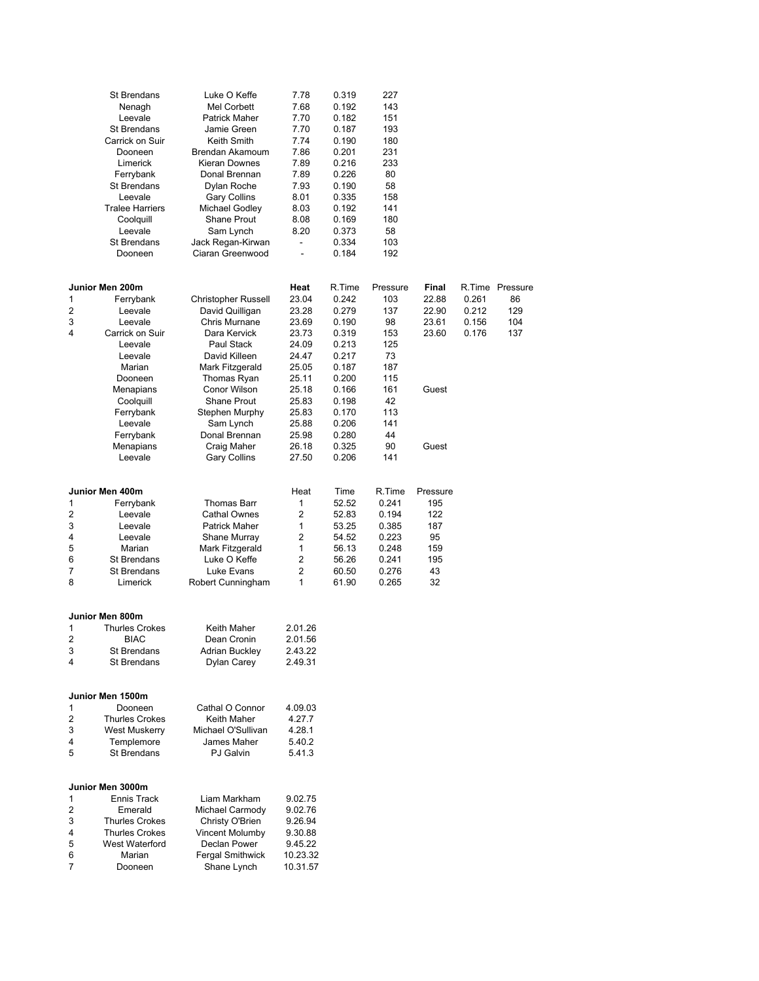|        | <b>St Brendans</b>               | Luke O Keffe                       | 7.78               | 0.319          | 227       |          |       |                 |
|--------|----------------------------------|------------------------------------|--------------------|----------------|-----------|----------|-------|-----------------|
|        | Nenagh                           | Mel Corbett                        | 7.68               | 0.192          | 143       |          |       |                 |
|        | Leevale                          | Patrick Maher                      | 7.70               | 0.182          | 151       |          |       |                 |
|        | <b>St Brendans</b>               | Jamie Green                        | 7.70               | 0.187          | 193       |          |       |                 |
|        | Carrick on Suir                  | Keith Smith                        | 7.74               | 0.190          | 180       |          |       |                 |
|        | Dooneen                          | Brendan Akamoum                    | 7.86               | 0.201          | 231       |          |       |                 |
|        | Limerick                         | Kieran Downes                      | 7.89               | 0.216          | 233       |          |       |                 |
|        | Ferrybank                        | Donal Brennan                      | 7.89               | 0.226          | 80        |          |       |                 |
|        | St Brendans                      | Dylan Roche                        | 7.93               | 0.190          | 58        |          |       |                 |
|        | Leevale                          | Gary Collins                       | 8.01               | 0.335          | 158       |          |       |                 |
|        | <b>Tralee Harriers</b>           | Michael Godley                     | 8.03               | 0.192          | 141       |          |       |                 |
|        | Coolquill                        | Shane Prout                        | 8.08               | 0.169          | 180       |          |       |                 |
|        | Leevale                          | Sam Lynch                          | 8.20               | 0.373          | 58        |          |       |                 |
|        | <b>St Brendans</b>               | Jack Regan-Kirwan                  |                    | 0.334          | 103       |          |       |                 |
|        | Dooneen                          | Ciaran Greenwood                   |                    | 0.184          | 192       |          |       |                 |
|        |                                  |                                    |                    |                |           |          |       |                 |
|        | Junior Men 200m                  |                                    | Heat               | R.Time         | Pressure  | Final    |       | R.Time Pressure |
| 1      | Ferrybank                        | <b>Christopher Russell</b>         | 23.04              | 0.242          | 103       | 22.88    | 0.261 | 86              |
| 2      | Leevale                          | David Quilligan                    | 23.28              | 0.279          | 137       | 22.90    | 0.212 | 129             |
| 3<br>4 | Leevale                          | Chris Murnane                      | 23.69              | 0.190          | 98        | 23.61    | 0.156 | 104             |
|        | Carrick on Suir<br>Leevale       | Dara Kervick<br>Paul Stack         | 23.73              | 0.319          | 153       | 23.60    | 0.176 | 137             |
|        | Leevale                          | David Killeen                      | 24.09              | 0.213<br>0.217 | 125<br>73 |          |       |                 |
|        | Marian                           | Mark Fitzgerald                    | 24.47<br>25.05     | 0.187          | 187       |          |       |                 |
|        | Dooneen                          | Thomas Ryan                        | 25.11              | 0.200          | 115       |          |       |                 |
|        | Menapians                        | Conor Wilson                       | 25.18              | 0.166          | 161       | Guest    |       |                 |
|        | Coolquill                        | <b>Shane Prout</b>                 | 25.83              | 0.198          | 42        |          |       |                 |
|        | Ferrybank                        | Stephen Murphy                     | 25.83              | 0.170          | 113       |          |       |                 |
|        | Leevale                          | Sam Lynch                          | 25.88              | 0.206          | 141       |          |       |                 |
|        | Ferrybank                        | Donal Brennan                      | 25.98              | 0.280          | 44        |          |       |                 |
|        | Menapians                        | Craig Maher                        | 26.18              | 0.325          | 90        | Guest    |       |                 |
|        | Leevale                          | Gary Collins                       | 27.50              | 0.206          | 141       |          |       |                 |
|        |                                  |                                    |                    |                |           |          |       |                 |
|        | Junior Men 400m                  |                                    | Heat               | Time           | R.Time    | Pressure |       |                 |
| 1      | Ferrybank                        | Thomas Barr                        | 1                  | 52.52          | 0.241     | 195      |       |                 |
| 2      | Leevale                          | <b>Cathal Ownes</b>                | 2                  | 52.83          | 0.194     | 122      |       |                 |
| 3      | Leevale                          | <b>Patrick Maher</b>               | 1                  | 53.25          | 0.385     | 187      |       |                 |
| 4      | Leevale                          | Shane Murray                       | 2                  | 54.52          | 0.223     | 95       |       |                 |
| 5      | Marian                           | Mark Fitzgerald                    | 1                  | 56.13          | 0.248     | 159      |       |                 |
| 6      | St Brendans                      | Luke O Keffe                       | 2                  | 56.26          | 0.241     | 195      |       |                 |
| 7      | St Brendans                      | Luke Evans                         | $\overline{2}$     | 60.50          | 0.276     | 43       |       |                 |
| 8      | Limerick                         | Robert Cunningham                  | 1                  | 61.90          | 0.265     | 32       |       |                 |
|        | Junior Men 800m                  |                                    |                    |                |           |          |       |                 |
| 1      | <b>Thurles Crokes</b>            | Keith Maher                        | 2.01.26            |                |           |          |       |                 |
| 2      | <b>BIAC</b>                      | Dean Cronin                        |                    |                |           |          |       |                 |
| 3      | <b>St Brendans</b>               | <b>Adrian Buckley</b>              | 2.01.56<br>2.43.22 |                |           |          |       |                 |
| 4      | <b>St Brendans</b>               | Dylan Carey                        | 2.49.31            |                |           |          |       |                 |
|        |                                  |                                    |                    |                |           |          |       |                 |
|        | Junior Men 1500m                 |                                    |                    |                |           |          |       |                 |
| 1      | Dooneen                          | Cathal O Connor                    | 4.09.03            |                |           |          |       |                 |
|        |                                  |                                    | 4.27.7             |                |           |          |       |                 |
| 2      | <b>Thurles Crokes</b>            | Keith Maher                        |                    |                |           |          |       |                 |
| 3      | West Muskerry                    | Michael O'Sullivan                 | 4.28.1             |                |           |          |       |                 |
| 4      | Templemore                       | James Maher                        | 5.40.2             |                |           |          |       |                 |
| 5      | <b>St Brendans</b>               | PJ Galvin                          | 5.41.3             |                |           |          |       |                 |
|        |                                  |                                    |                    |                |           |          |       |                 |
|        | Junior Men 3000m                 |                                    |                    |                |           |          |       |                 |
| 1      | Ennis Track                      | Liam Markham                       | 9.02.75            |                |           |          |       |                 |
| 2<br>3 | Emerald<br><b>Thurles Crokes</b> | Michael Carmody                    | 9.02.76<br>9.26.94 |                |           |          |       |                 |
| 4      | <b>Thurles Crokes</b>            | Christy O'Brien<br>Vincent Molumby | 9.30.88            |                |           |          |       |                 |
| 5      | West Waterford                   | Declan Power                       | 9.45.22            |                |           |          |       |                 |
| 6      | Marian                           | <b>Fergal Smithwick</b>            | 10.23.32           |                |           |          |       |                 |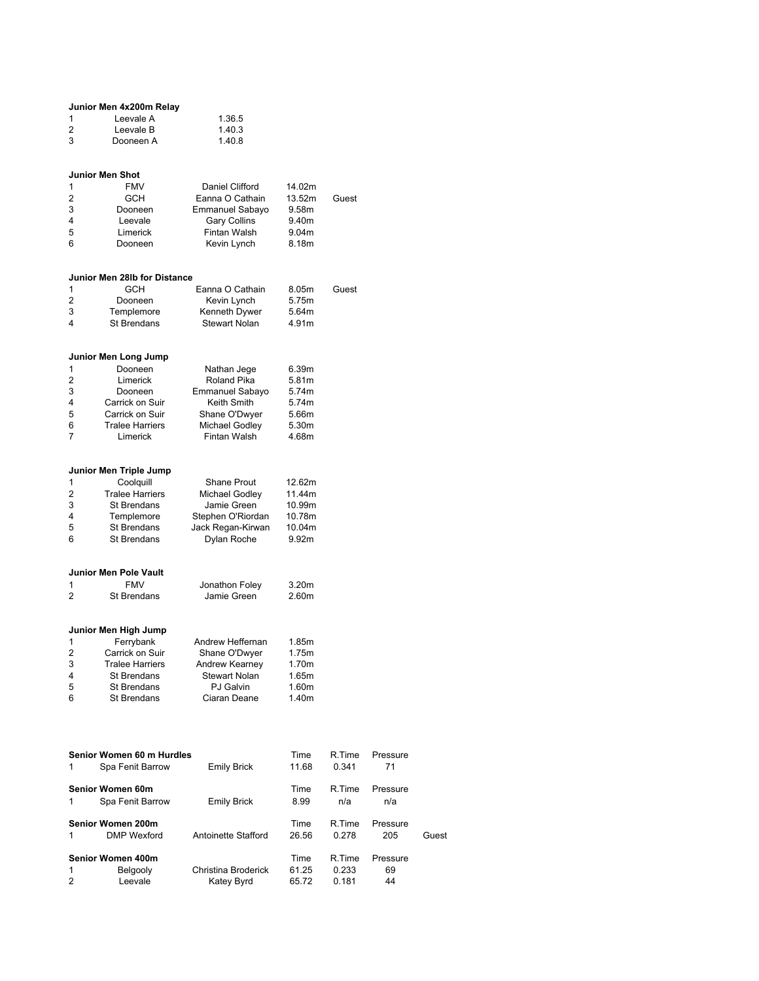| Junior Men 4x200m Relay |           |        |  |  |  |
|-------------------------|-----------|--------|--|--|--|
| 1                       | Leevale A | 1.36.5 |  |  |  |
| 2                       | Leevale B | 1.40.3 |  |  |  |
| 3                       | Dooneen A | 1.40.8 |  |  |  |

# Junior Men Shot

| $\mathbf{1}$   | <b>FMV</b> | Daniel Clifford     | 14.02m |       |
|----------------|------------|---------------------|--------|-------|
| $\mathcal{P}$  | <b>GCH</b> | Eanna O Cathain     | 13.52m | Guest |
| 3              | Dooneen    | Emmanuel Sabayo     | 9.58m  |       |
| $\overline{4}$ | Leevale    | <b>Gary Collins</b> | 9.40m  |       |
| 5              | Limerick   | Fintan Walsh        | 9.04m  |       |
| 6              | Dooneen    | Kevin Lynch         | 8.18m  |       |
|                |            |                     |        |       |

#### Junior Men 28lb for Distance

|   | <b>GCH</b>  | Eanna O Cathain      | 8.05m | Guest |
|---|-------------|----------------------|-------|-------|
| 2 | Dooneen     | Kevin Lynch          | 5.75m |       |
| 3 | Templemore  | Kenneth Dywer        | 5.64m |       |
| 4 | St Brendans | <b>Stewart Nolan</b> | 4.91m |       |
|   |             |                      |       |       |

### Junior Men Long Jump

| Roland Pika<br>$\mathcal{P}$<br>Limerick         | 6.39m |
|--------------------------------------------------|-------|
|                                                  | 5.81m |
| 3<br><b>Emmanuel Sabayo</b><br>Dooneen           | 5.74m |
| Keith Smith<br>Carrick on Suir<br>$\overline{4}$ | 5.74m |
| Carrick on Suir<br>Shane O'Dwyer<br>5            | 5.66m |
| Michael Godley<br>6<br><b>Tralee Harriers</b>    | 5.30m |
| Fintan Walsh<br>Limerick<br>7                    | 4.68m |

### Junior Men Triple Jump

| $\mathbf{1}$   | Coolguill              | <b>Shane Prout</b> | 12.62m            |
|----------------|------------------------|--------------------|-------------------|
| $\mathcal{P}$  | <b>Tralee Harriers</b> | Michael Godley     | 11.44m            |
| 3              | St Brendans            | Jamie Green        | 10.99m            |
| $\overline{4}$ | Templemore             | Stephen O'Riordan  | 10.78m            |
| -5             | St Brendans            | Jack Regan-Kirwan  | 10.04m            |
| 6              | St Brendans            | Dylan Roche        | 9.92 <sub>m</sub> |
|                |                        |                    |                   |

## Junior Men Pole Vault

|   | <b>FMV</b>  | Jonathon Foley | 3.20 <sub>m</sub> |
|---|-------------|----------------|-------------------|
| 2 | St Brendans | Jamie Green    | 2.60m             |
|   |             |                |                   |

### Junior Men High Jump

|               | Ferrybank              | Andrew Heffernan     | 1.85m |
|---------------|------------------------|----------------------|-------|
| $\mathcal{P}$ | Carrick on Suir        | Shane O'Dwyer        | 1.75m |
| 3             | <b>Tralee Harriers</b> | Andrew Kearney       | 1.70m |
| 4             | St Brendans            | <b>Stewart Nolan</b> | 1.65m |
| -5            | St Brendans            | <b>PJ</b> Galvin     | 1.60m |
| 6             | St Brendans            | Ciaran Deane         | 1.40m |
|               |                        |                      |       |

|              | Senior Women 60 m Hurdles |                     | Time  | R.Time | Pressure |       |
|--------------|---------------------------|---------------------|-------|--------|----------|-------|
| 1            | Spa Fenit Barrow          | <b>Emily Brick</b>  | 11.68 | 0.341  | 71       |       |
|              | Senior Women 60m          |                     | Time  | R.Time | Pressure |       |
| 1            | Spa Fenit Barrow          | Emily Brick         | 8.99  | n/a    | n/a      |       |
|              | Senior Women 200m         |                     | Time  | R.Time | Pressure |       |
| 1            | <b>DMP</b> Wexford        | Antoinette Stafford | 26.56 | 0.278  | 205      | Guest |
|              | Senior Women 400m         |                     | Time  | R.Time | Pressure |       |
| $\mathbf{1}$ | Belgooly                  | Christina Broderick | 61.25 | 0.233  | 69       |       |
| 2            | Leevale                   | Katey Byrd          | 65.72 | 0.181  | 44       |       |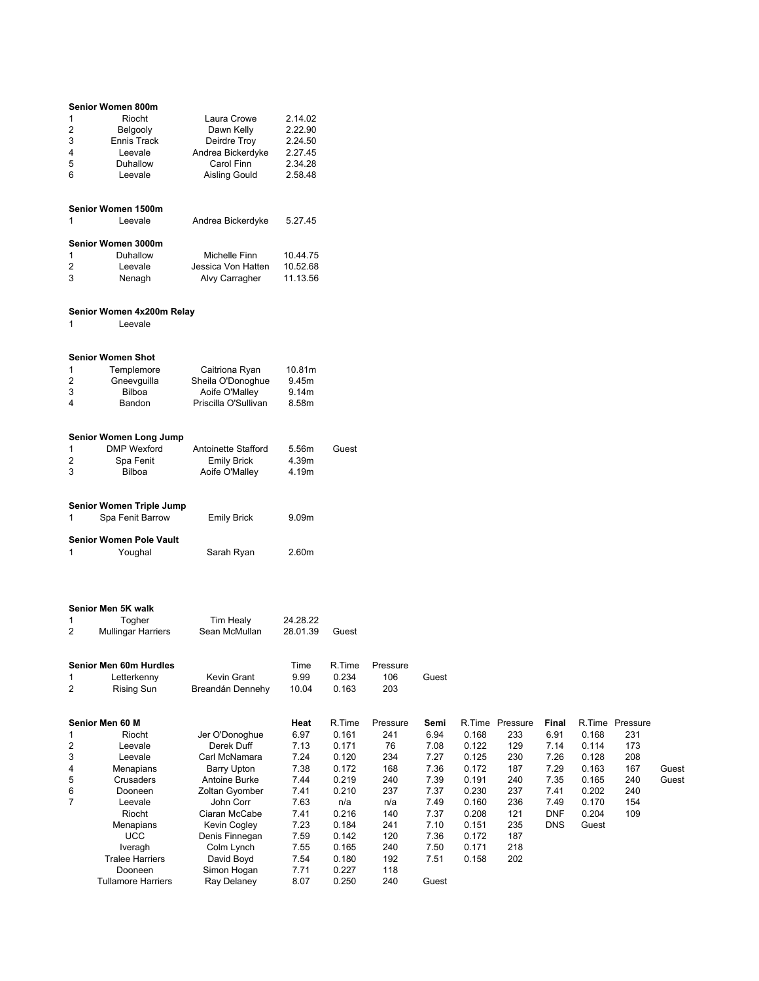|                                | Senior Women 800m                                   |                                           |                      |                |            |              |                |                 |            |       |                 |       |
|--------------------------------|-----------------------------------------------------|-------------------------------------------|----------------------|----------------|------------|--------------|----------------|-----------------|------------|-------|-----------------|-------|
| $\mathbf{1}$                   | Riocht                                              | Laura Crowe                               | 2.14.02              |                |            |              |                |                 |            |       |                 |       |
| $\overline{c}$                 | Belgooly                                            | Dawn Kelly                                | 2.22.90              |                |            |              |                |                 |            |       |                 |       |
| 3                              | Ennis Track                                         | Deirdre Troy                              | 2.24.50              |                |            |              |                |                 |            |       |                 |       |
| 4                              | Leevale                                             | Andrea Bickerdyke                         | 2.27.45              |                |            |              |                |                 |            |       |                 |       |
| 5                              | Duhallow                                            | Carol Finn                                | 2.34.28              |                |            |              |                |                 |            |       |                 |       |
| 6                              | Leevale                                             | Aisling Gould                             | 2.58.48              |                |            |              |                |                 |            |       |                 |       |
|                                |                                                     |                                           |                      |                |            |              |                |                 |            |       |                 |       |
|                                | Senior Women 1500m                                  |                                           |                      |                |            |              |                |                 |            |       |                 |       |
| 1                              | Leevale                                             | Andrea Bickerdyke                         | 5.27.45              |                |            |              |                |                 |            |       |                 |       |
|                                | Senior Women 3000m                                  |                                           |                      |                |            |              |                |                 |            |       |                 |       |
| 1                              | Duhallow                                            | Michelle Finn                             | 10.44.75             |                |            |              |                |                 |            |       |                 |       |
| $\overline{c}$                 | Leevale                                             | Jessica Von Hatten                        | 10.52.68             |                |            |              |                |                 |            |       |                 |       |
| 3                              | Nenagh                                              | Alvy Carragher                            | 11.13.56             |                |            |              |                |                 |            |       |                 |       |
|                                |                                                     |                                           |                      |                |            |              |                |                 |            |       |                 |       |
| 1                              | Senior Women 4x200m Relay<br>Leevale                |                                           |                      |                |            |              |                |                 |            |       |                 |       |
|                                | <b>Senior Women Shot</b>                            |                                           |                      |                |            |              |                |                 |            |       |                 |       |
|                                |                                                     |                                           |                      |                |            |              |                |                 |            |       |                 |       |
| $\mathbf{1}$<br>$\overline{c}$ | Templemore<br>Gneevguilla                           | Caitriona Ryan<br>Sheila O'Donoghue       | 10.81m<br>9.45m      |                |            |              |                |                 |            |       |                 |       |
| 3                              | <b>Bilboa</b>                                       | Aoife O'Malley                            | 9.14m                |                |            |              |                |                 |            |       |                 |       |
| 4                              | Bandon                                              | Priscilla O'Sullivan                      | 8.58m                |                |            |              |                |                 |            |       |                 |       |
|                                |                                                     |                                           |                      |                |            |              |                |                 |            |       |                 |       |
|                                |                                                     |                                           |                      |                |            |              |                |                 |            |       |                 |       |
|                                | <b>Senior Women Long Jump</b><br><b>DMP</b> Wexford |                                           |                      | Guest          |            |              |                |                 |            |       |                 |       |
| $\mathbf{1}$<br>2              | Spa Fenit                                           | Antoinette Stafford<br><b>Emily Brick</b> | 5.56m<br>4.39m       |                |            |              |                |                 |            |       |                 |       |
| 3                              | Bilboa                                              | Aoife O'Malley                            | 4.19m                |                |            |              |                |                 |            |       |                 |       |
|                                |                                                     |                                           |                      |                |            |              |                |                 |            |       |                 |       |
|                                |                                                     |                                           |                      |                |            |              |                |                 |            |       |                 |       |
| 1                              | Senior Women Triple Jump<br>Spa Fenit Barrow        | <b>Emily Brick</b>                        | 9.09m                |                |            |              |                |                 |            |       |                 |       |
|                                |                                                     |                                           |                      |                |            |              |                |                 |            |       |                 |       |
|                                | <b>Senior Women Pole Vault</b>                      |                                           |                      |                |            |              |                |                 |            |       |                 |       |
| 1                              | Youghal                                             | Sarah Ryan                                | 2.60m                |                |            |              |                |                 |            |       |                 |       |
|                                |                                                     |                                           |                      |                |            |              |                |                 |            |       |                 |       |
|                                |                                                     |                                           |                      |                |            |              |                |                 |            |       |                 |       |
|                                | Senior Men 5K walk                                  |                                           |                      |                |            |              |                |                 |            |       |                 |       |
| 1<br>2                         | Togher<br><b>Mullingar Harriers</b>                 | <b>Tim Healy</b><br>Sean McMullan         | 24.28.22<br>28.01.39 | Guest          |            |              |                |                 |            |       |                 |       |
|                                |                                                     |                                           |                      |                |            |              |                |                 |            |       |                 |       |
|                                | Senior Men 60m Hurdles                              |                                           | Time                 | R.Time         | Pressure   |              |                |                 |            |       |                 |       |
| 1                              | Letterkenny                                         | Kevin Grant                               | 9.99                 | 0.234          | 106        | Guest        |                |                 |            |       |                 |       |
| $\overline{2}$                 | <b>Rising Sun</b>                                   | Breandán Dennehy                          | 10.04                | 0.163          | 203        |              |                |                 |            |       |                 |       |
|                                |                                                     |                                           |                      |                |            |              |                |                 |            |       |                 |       |
|                                | Senior Men 60 M                                     |                                           | Heat                 | R.Time         | Pressure   | Semi         |                | R.Time Pressure | Final      |       | R.Time Pressure |       |
| 1                              | Riocht                                              | Jer O'Donoghue                            | 6.97                 | 0.161          | 241        | 6.94         | 0.168          | 233             | 6.91       | 0.168 | 231             |       |
| $\overline{2}$                 | Leevale                                             | Derek Duff                                | 7.13                 | 0.171          | 76         | 7.08         | 0.122          | 129             | 7.14       | 0.114 | 173             |       |
| 3                              | Leevale                                             | Carl McNamara                             | 7.24                 | 0.120          | 234        | 7.27         | 0.125          | 230             | 7.26       | 0.128 | 208             |       |
| 4                              | Menapians                                           | <b>Barry Upton</b>                        | 7.38                 | 0.172          | 168        | 7.36         | 0.172          | 187             | 7.29       | 0.163 | 167             | Guest |
| 5                              | Crusaders                                           | Antoine Burke                             | 7.44                 | 0.219          | 240        | 7.39         | 0.191          | 240             | 7.35       | 0.165 | 240             | Guest |
| 6                              | Dooneen                                             | Zoltan Gyomber                            | 7.41                 | 0.210          | 237        | 7.37         | 0.230          | 237             | 7.41       | 0.202 | 240             |       |
| $\overline{7}$                 | Leevale                                             | John Corr                                 | 7.63                 | n/a            | n/a        | 7.49         | 0.160          | 236             | 7.49       | 0.170 | 154             |       |
|                                | Riocht                                              | Ciaran McCabe                             | 7.41                 | 0.216          | 140        | 7.37         | 0.208          | 121             | <b>DNF</b> | 0.204 | 109             |       |
|                                | Menapians                                           | Kevin Cogley                              | 7.23                 | 0.184          | 241        | 7.10         | 0.151          | 235             | <b>DNS</b> | Guest |                 |       |
|                                | <b>UCC</b>                                          | Denis Finnegan                            | 7.59                 | 0.142          | 120        | 7.36         | 0.172          | 187             |            |       |                 |       |
|                                | Iveragh<br><b>Tralee Harriers</b>                   | Colm Lynch<br>David Boyd                  | 7.55<br>7.54         | 0.165<br>0.180 | 240<br>192 | 7.50<br>7.51 | 0.171<br>0.158 | 218<br>202      |            |       |                 |       |
|                                | Dooneen                                             | Simon Hogan                               | 7.71                 | 0.227          | 118        |              |                |                 |            |       |                 |       |
|                                | <b>Tullamore Harriers</b>                           | Ray Delaney                               | 8.07                 | 0.250          | 240        | Guest        |                |                 |            |       |                 |       |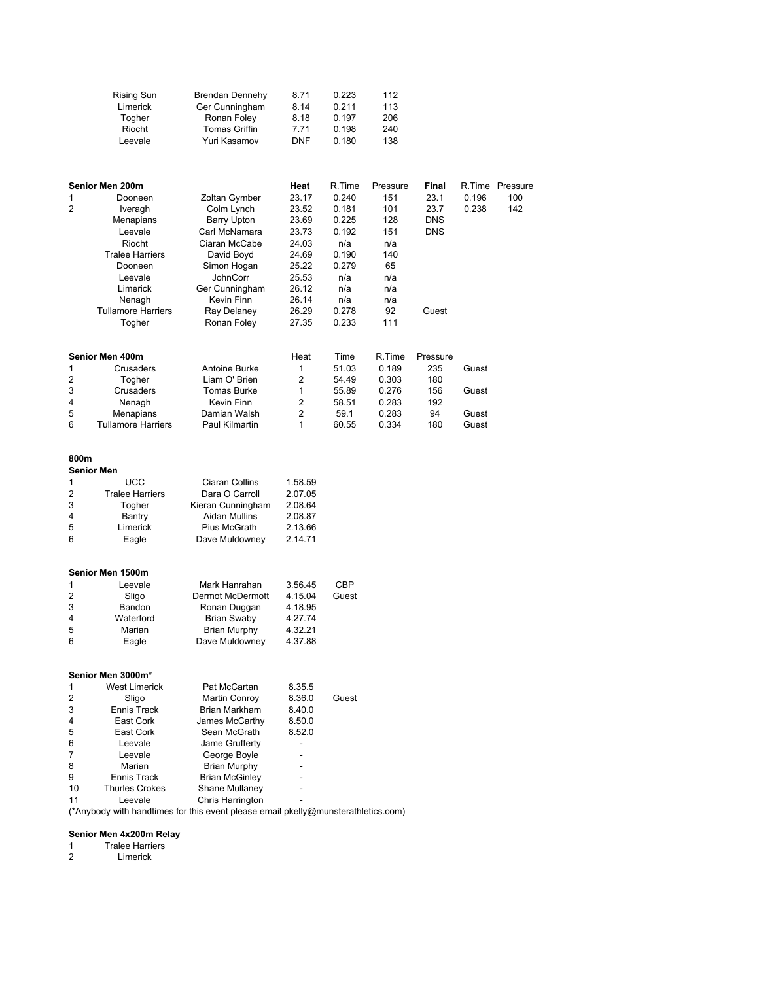|                   | <b>Rising Sun</b><br>Limerick<br>Togher<br>Riocht<br>Leevale                                                                                                                         | Brendan Dennehy<br>Ger Cunningham<br>Ronan Foley<br><b>Tomas Griffin</b><br>Yuri Kasamov                                                                                                   | 8.71<br>8.14<br>8.18<br>7.71<br>DNF                                                                              | 0.223<br>0.211<br>0.197<br>0.198<br>0.180                                                                  | 112<br>113<br>206<br>240<br>138                                                            |                                                            |                |                               |
|-------------------|--------------------------------------------------------------------------------------------------------------------------------------------------------------------------------------|--------------------------------------------------------------------------------------------------------------------------------------------------------------------------------------------|------------------------------------------------------------------------------------------------------------------|------------------------------------------------------------------------------------------------------------|--------------------------------------------------------------------------------------------|------------------------------------------------------------|----------------|-------------------------------|
| $\mathbf{1}$<br>2 | Senior Men 200m<br>Dooneen<br>Iveragh<br>Menapians<br>Leevale<br>Riocht<br><b>Tralee Harriers</b><br>Dooneen<br>Leevale<br>Limerick<br>Nenagh<br><b>Tullamore Harriers</b><br>Togher | Zoltan Gymber<br>Colm Lynch<br><b>Barry Upton</b><br>Carl McNamara<br>Ciaran McCabe<br>David Boyd<br>Simon Hogan<br>JohnCorr<br>Ger Cunningham<br>Kevin Finn<br>Ray Delaney<br>Ronan Foley | Heat<br>23.17<br>23.52<br>23.69<br>23.73<br>24.03<br>24.69<br>25.22<br>25.53<br>26.12<br>26.14<br>26.29<br>27.35 | R.Time<br>0.240<br>0.181<br>0.225<br>0.192<br>n/a<br>0.190<br>0.279<br>n/a<br>n/a<br>n/a<br>0.278<br>0.233 | Pressure<br>151<br>101<br>128<br>151<br>n/a<br>140<br>65<br>n/a<br>n/a<br>n/a<br>92<br>111 | Final<br>23.1<br>23.7<br><b>DNS</b><br><b>DNS</b><br>Guest | 0.196<br>0.238 | R.Time Pressure<br>100<br>142 |
|                   | Senior Men 400m                                                                                                                                                                      |                                                                                                                                                                                            | Heat                                                                                                             | Time                                                                                                       | R.Time                                                                                     | Pressure                                                   |                |                               |
| 1                 | Crusaders                                                                                                                                                                            | <b>Antoine Burke</b>                                                                                                                                                                       | 1                                                                                                                | 51.03                                                                                                      | 0.189                                                                                      | 235                                                        | Guest          |                               |
| 2<br>3            | Togher<br>Crusaders                                                                                                                                                                  | Liam O' Brien<br>Tomas Burke                                                                                                                                                               | 2<br>1                                                                                                           | 54.49<br>55.89                                                                                             | 0.303<br>0.276                                                                             | 180<br>156                                                 | Guest          |                               |
| 4                 | Nenagh                                                                                                                                                                               | Kevin Finn                                                                                                                                                                                 | 2                                                                                                                | 58.51                                                                                                      | 0.283                                                                                      | 192                                                        |                |                               |
| 5                 | Menapians                                                                                                                                                                            | Damian Walsh                                                                                                                                                                               | 2                                                                                                                | 59.1                                                                                                       | 0.283                                                                                      | 94                                                         | Guest          |                               |
| 6                 | <b>Tullamore Harriers</b>                                                                                                                                                            | Paul Kilmartin                                                                                                                                                                             | 1                                                                                                                | 60.55                                                                                                      | 0.334                                                                                      | 180                                                        | Guest          |                               |
| 800m              | <b>Senior Men</b>                                                                                                                                                                    |                                                                                                                                                                                            |                                                                                                                  |                                                                                                            |                                                                                            |                                                            |                |                               |
| 1                 | <b>UCC</b>                                                                                                                                                                           | Ciaran Collins                                                                                                                                                                             | 1.58.59                                                                                                          |                                                                                                            |                                                                                            |                                                            |                |                               |
| 2                 | <b>Tralee Harriers</b>                                                                                                                                                               | Dara O Carroll                                                                                                                                                                             | 2.07.05                                                                                                          |                                                                                                            |                                                                                            |                                                            |                |                               |
| 3                 | Togher                                                                                                                                                                               | Kieran Cunningham                                                                                                                                                                          | 2.08.64                                                                                                          |                                                                                                            |                                                                                            |                                                            |                |                               |
| 4<br>5            | Bantry<br>Limerick                                                                                                                                                                   | <b>Aidan Mullins</b><br>Pius McGrath                                                                                                                                                       | 2.08.87<br>2.13.66                                                                                               |                                                                                                            |                                                                                            |                                                            |                |                               |
| 6                 | Eagle                                                                                                                                                                                | Dave Muldowney                                                                                                                                                                             | 2.14.71                                                                                                          |                                                                                                            |                                                                                            |                                                            |                |                               |
|                   | Senior Men 1500m                                                                                                                                                                     |                                                                                                                                                                                            |                                                                                                                  |                                                                                                            |                                                                                            |                                                            |                |                               |
| 1                 | Leevale                                                                                                                                                                              | Mark Hanrahan                                                                                                                                                                              | 3.56.45                                                                                                          | <b>CBP</b>                                                                                                 |                                                                                            |                                                            |                |                               |
| 2<br>3            | Sligo                                                                                                                                                                                | Dermot McDermott                                                                                                                                                                           | 4.15.04                                                                                                          | Guest                                                                                                      |                                                                                            |                                                            |                |                               |
| 4                 | Bandon<br>Waterford                                                                                                                                                                  | Ronan Duggan<br><b>Brian Swaby</b>                                                                                                                                                         | 4.18.95<br>4.27.74                                                                                               |                                                                                                            |                                                                                            |                                                            |                |                               |
| 5                 | Marian                                                                                                                                                                               | <b>Brian Murphy</b>                                                                                                                                                                        | 4.32.21                                                                                                          |                                                                                                            |                                                                                            |                                                            |                |                               |
| 6                 | Eagle                                                                                                                                                                                | Dave Muldowney                                                                                                                                                                             | 4.37.88                                                                                                          |                                                                                                            |                                                                                            |                                                            |                |                               |
|                   | Senior Men 3000m*                                                                                                                                                                    |                                                                                                                                                                                            |                                                                                                                  |                                                                                                            |                                                                                            |                                                            |                |                               |
| 1                 | <b>West Limerick</b>                                                                                                                                                                 | Pat McCartan                                                                                                                                                                               | 8.35.5                                                                                                           |                                                                                                            |                                                                                            |                                                            |                |                               |
| 2<br>3            | Sligo                                                                                                                                                                                | Martin Conroy<br>Brian Markham                                                                                                                                                             | 8.36.0<br>8.40.0                                                                                                 | Guest                                                                                                      |                                                                                            |                                                            |                |                               |
| 4                 | Ennis Track<br>East Cork                                                                                                                                                             | James McCarthy                                                                                                                                                                             | 8.50.0                                                                                                           |                                                                                                            |                                                                                            |                                                            |                |                               |
| 5                 | East Cork                                                                                                                                                                            | Sean McGrath                                                                                                                                                                               | 8.52.0                                                                                                           |                                                                                                            |                                                                                            |                                                            |                |                               |
| 6                 | Leevale                                                                                                                                                                              | Jame Grufferty                                                                                                                                                                             | L,                                                                                                               |                                                                                                            |                                                                                            |                                                            |                |                               |
| 7                 | Leevale                                                                                                                                                                              | George Boyle                                                                                                                                                                               |                                                                                                                  |                                                                                                            |                                                                                            |                                                            |                |                               |
| 8                 | Marian                                                                                                                                                                               | <b>Brian Murphy</b>                                                                                                                                                                        |                                                                                                                  |                                                                                                            |                                                                                            |                                                            |                |                               |
| 9                 | Ennis Track                                                                                                                                                                          | <b>Brian McGinley</b>                                                                                                                                                                      |                                                                                                                  |                                                                                                            |                                                                                            |                                                            |                |                               |
| 10                | <b>Thurles Crokes</b>                                                                                                                                                                | Shane Mullaney                                                                                                                                                                             |                                                                                                                  |                                                                                                            |                                                                                            |                                                            |                |                               |
| 11                | Leevale                                                                                                                                                                              | Chris Harrington                                                                                                                                                                           |                                                                                                                  |                                                                                                            |                                                                                            |                                                            |                |                               |
|                   |                                                                                                                                                                                      | (*Anybody with handtimes for this event please email pkelly@munsterathletics.com)                                                                                                          |                                                                                                                  |                                                                                                            |                                                                                            |                                                            |                |                               |

## Senior Men 4x200m Relay

1 Tralee Harriers<br>2 Limerick

Limerick